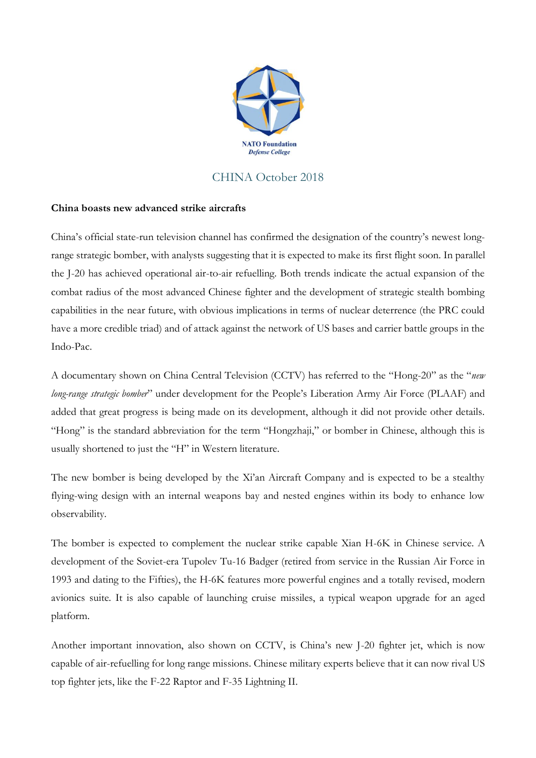

## CHINA October 2018

## **China boasts new advanced strike aircrafts**

China's official state-run television channel has confirmed the designation of the country's newest longrange strategic bomber, with analysts suggesting that it is expected to make its first flight soon. In parallel the J-20 has achieved operational air-to-air refuelling. Both trends indicate the actual expansion of the combat radius of the most advanced Chinese fighter and the development of strategic stealth bombing capabilities in the near future, with obvious implications in terms of nuclear deterrence (the PRC could have a more credible triad) and of attack against the network of US bases and carrier battle groups in the Indo-Pac.

A documentary shown on China Central Television (CCTV) has referred to the "Hong-20" as the "*new long-range strategic bomber*" under development for the People's Liberation Army Air Force (PLAAF) and added that great progress is being made on its development, although it did not provide other details. "Hong" is the standard abbreviation for the term "Hongzhaji," or bomber in Chinese, although this is usually shortened to just the "H" in Western literature.

The new bomber is being developed by the Xi'an Aircraft Company and is expected to be a stealthy flying-wing design with an internal weapons bay and nested engines within its body to enhance low observability.

The bomber is expected to complement the nuclear strike capable Xian H-6K in Chinese service. A development of the Soviet-era Tupolev Tu-16 Badger (retired from service in the Russian Air Force in 1993 and dating to the Fifties), the H-6K features more powerful engines and a totally revised, modern avionics suite. It is also capable of launching cruise missiles, a typical weapon upgrade for an aged platform.

Another important innovation, also shown on CCTV, is China's new J-20 fighter jet, which is now capable of air-refuelling for long range missions. Chinese military experts believe that it can now rival US top fighter jets, like the F-22 Raptor and F-35 Lightning II.